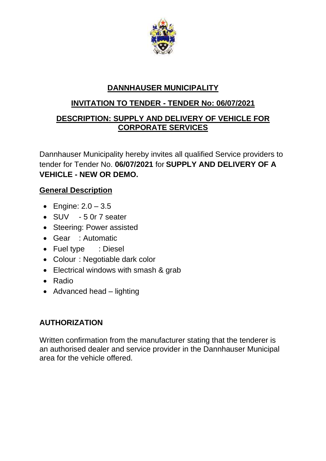

# **DANNHAUSER MUNICIPALITY**

## **INVITATION TO TENDER - TENDER No: 06/07/2021**

## **DESCRIPTION: SUPPLY AND DELIVERY OF VEHICLE FOR CORPORATE SERVICES**

Dannhauser Municipality hereby invites all qualified Service providers to tender for Tender No. **06/07/2021** for **SUPPLY AND DELIVERY OF A VEHICLE - NEW OR DEMO.**

## **General Description**

- Engine: 2.0 3.5
- SUV 5 0r 7 seater
- Steering: Power assisted
- Gear : Automatic
- Fuel type : Diesel
- Colour : Negotiable dark color
- Electrical windows with smash & grab
- Radio
- Advanced head lighting

## **AUTHORIZATION**

Written confirmation from the manufacturer stating that the tenderer is an authorised dealer and service provider in the Dannhauser Municipal area for the vehicle offered.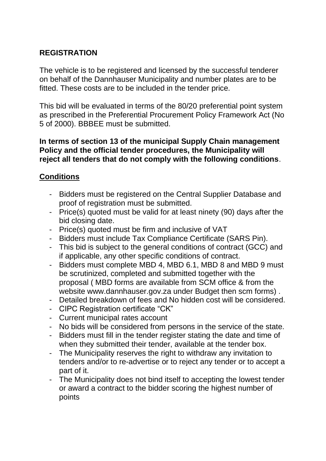### **REGISTRATION**

The vehicle is to be registered and licensed by the successful tenderer on behalf of the Dannhauser Municipality and number plates are to be fitted. These costs are to be included in the tender price.

This bid will be evaluated in terms of the 80/20 preferential point system as prescribed in the Preferential Procurement Policy Framework Act (No 5 of 2000). BBBEE must be submitted.

#### **In terms of section 13 of the municipal Supply Chain management Policy and the official tender procedures, the Municipality will reject all tenders that do not comply with the following conditions**.

#### **Conditions**

- Bidders must be registered on the Central Supplier Database and proof of registration must be submitted.
- Price(s) quoted must be valid for at least ninety (90) days after the bid closing date.
- Price(s) quoted must be firm and inclusive of VAT
- Bidders must include Tax Compliance Certificate (SARS Pin).
- This bid is subject to the general conditions of contract (GCC) and if applicable, any other specific conditions of contract.
- Bidders must complete MBD 4, MBD 6.1, MBD 8 and MBD 9 must be scrutinized, completed and submitted together with the proposal ( MBD forms are available from SCM office & from the website www.dannhauser.gov.za under Budget then scm forms) .
- Detailed breakdown of fees and No hidden cost will be considered.
- CIPC Registration certificate "CK"
- Current municipal rates account
- No bids will be considered from persons in the service of the state.
- Bidders must fill in the tender register stating the date and time of when they submitted their tender, available at the tender box.
- The Municipality reserves the right to withdraw any invitation to tenders and/or to re-advertise or to reject any tender or to accept a part of it.
- The Municipality does not bind itself to accepting the lowest tender or award a contract to the bidder scoring the highest number of points